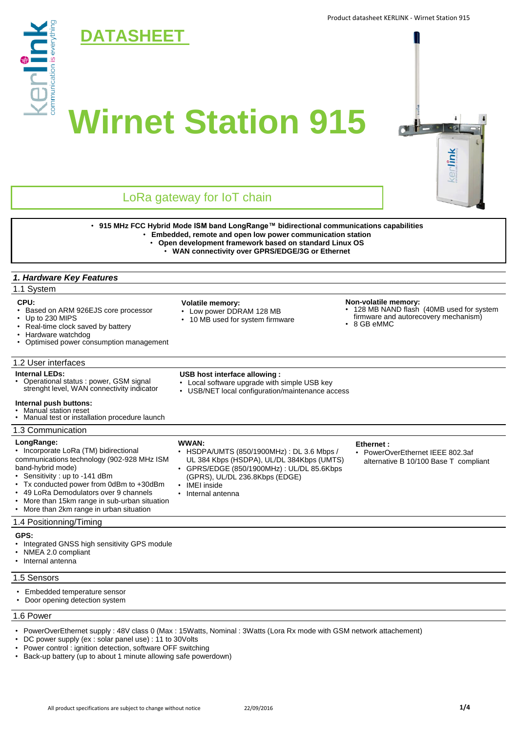

## 1.4 Positionning/Timing

**GPS:**

- Integrated GNSS high sensitivity GPS module
- NMEA 2.0 compliant

• Internal antenna

- 1.5 Sensors
- Embedded temperature sensor
- Door opening detection system

### 1.6 Power

- PowerOverEthernet supply : 48V class 0 (Max : 15Watts, Nominal : 3Watts (Lora Rx mode with GSM network attachement)
- DC power supply (ex : solar panel use) : 11 to 30Volts
- Power control : ignition detection, software OFF switching
- Back-up battery (up to about 1 minute allowing safe powerdown)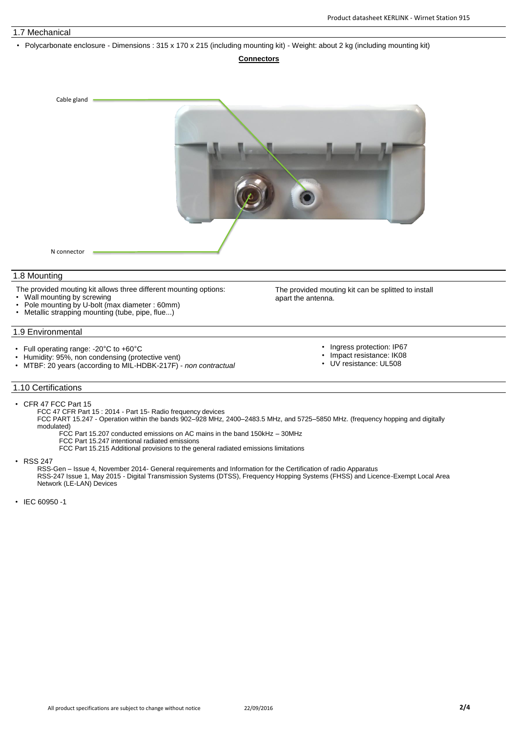## 1.7 Mechanical

• Polycarbonate enclosure - Dimensions : 315 x 170 x 215 (including mounting kit) - Weight: about 2 kg (including mounting kit)

#### **Connectors**



#### 1.8 Mounting

- The provided mouting kit allows three different mounting options:
- Wall mounting by screwing
- Pole mounting by U-bolt (max diameter : 60mm)
- Metallic strapping mounting (tube, pipe, flue...)

### 1.9 Environmental

- Full operating range: -20°C to +60°C
- Humidity: 95%, non condensing (protective vent)
- MTBF: 20 years (according to MIL-HDBK-217F) *non contractual*
- The provided mouting kit can be splitted to install apart the antenna.
	- Ingress protection: IP67
	- Impact resistance: IK08
	- UV resistance: UL508

## 1.10 Certifications

- CFR 47 FCC Part 15
	- FCC 47 CFR Part 15 : 2014 Part 15- Radio frequency devices
	- FCC PART 15.247 Operation within the bands 902–928 MHz, 2400–2483.5 MHz, and 5725–5850 MHz. (frequency hopping and digitally modulated)
		- FCC Part 15.207 conducted emissions on AC mains in the band 150kHz 30MHz
		- FCC Part 15.247 intentional radiated emissions
		- FCC Part 15.215 Additional provisions to the general radiated emissions limitations

• RSS 247

RSS-Gen – Issue 4, November 2014- General requirements and Information for the Certification of radio Apparatus RSS-247 Issue 1, May 2015 - Digital Transmission Systems (DTSS), Frequency Hopping Systems (FHSS) and Licence-Exempt Local Area Network (LE-LAN) Devices

• IEC 60950 -1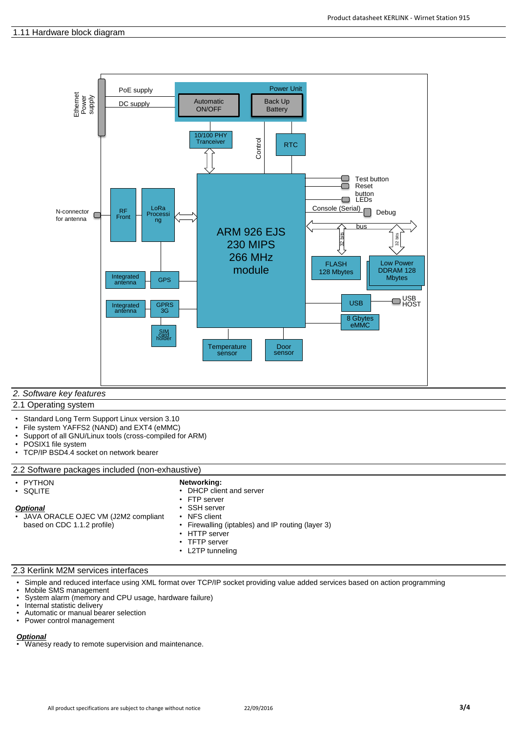

## *2. Software key features*

## 2.1 Operating system

- Standard Long Term Support Linux version 3.10
- File system YAFFS2 (NAND) and EXT4 (eMMC)
- Support of all GNU/Linux tools (cross-compiled for ARM)
- POSIX1 file system
- TCP/IP BSD4.4 socket on network bearer

## 2.2 Software packages included (non-exhaustive)

| PYTHON |
|--------|
| SQLITE |

## **Networking:**

- *Optional* • JAVA ORACLE OJEC VM (J2M2 compliant
- DHCP client and server FTP server
- SSH server
- **NFS** client

based on CDC 1.1.2 profile)

- Firewalling (iptables) and IP routing (layer 3) • HTTP server
- TFTP server
- L2TP tunneling

## 2.3 Kerlink M2M services interfaces

- Simple and reduced interface using XML format over TCP/IP socket providing value added services based on action programming
- Mobile SMS management<br>• System alarm (memory an
- System alarm (memory and CPU usage, hardware failure)
- Internal statistic delivery
- Automatic or manual bearer selection<br>• Power control management
- Power control management

**Optional**<br>• Wanesy ready to remote supervision and maintenance.